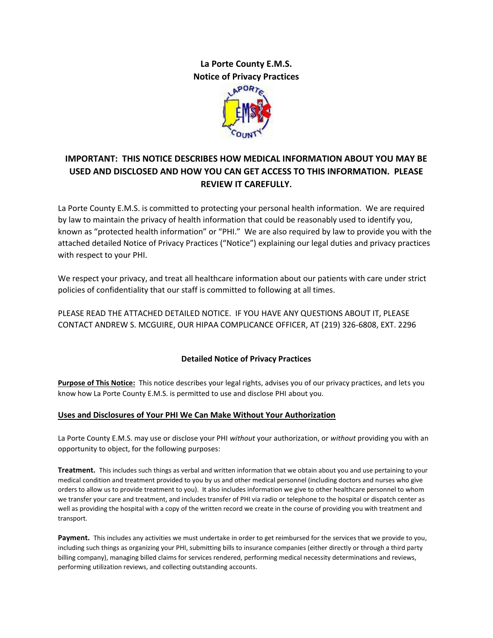# **La Porte County E.M.S. Notice of Privacy Practices**



# **IMPORTANT: THIS NOTICE DESCRIBES HOW MEDICAL INFORMATION ABOUT YOU MAY BE USED AND DISCLOSED AND HOW YOU CAN GET ACCESS TO THIS INFORMATION. PLEASE REVIEW IT CAREFULLY.**

La Porte County E.M.S. is committed to protecting your personal health information. We are required by law to maintain the privacy of health information that could be reasonably used to identify you, known as "protected health information" or "PHI." We are also required by law to provide you with the attached detailed Notice of Privacy Practices ("Notice") explaining our legal duties and privacy practices with respect to your PHI.

We respect your privacy, and treat all healthcare information about our patients with care under strict policies of confidentiality that our staff is committed to following at all times.

PLEASE READ THE ATTACHED DETAILED NOTICE. IF YOU HAVE ANY QUESTIONS ABOUT IT, PLEASE CONTACT ANDREW S. MCGUIRE, OUR HIPAA COMPLICANCE OFFICER, AT (219) 326-6808, EXT. 2296

# **Detailed Notice of Privacy Practices**

**Purpose of This Notice:** This notice describes your legal rights, advises you of our privacy practices, and lets you know how La Porte County E.M.S. is permitted to use and disclose PHI about you.

# **Uses and Disclosures of Your PHI We Can Make Without Your Authorization**

La Porte County E.M.S. may use or disclose your PHI *without* your authorization, or *without* providing you with an opportunity to object, for the following purposes:

**Treatment.** This includes such things as verbal and written information that we obtain about you and use pertaining to your medical condition and treatment provided to you by us and other medical personnel (including doctors and nurses who give orders to allow us to provide treatment to you). It also includes information we give to other healthcare personnel to whom we transfer your care and treatment, and includes transfer of PHI via radio or telephone to the hospital or dispatch center as well as providing the hospital with a copy of the written record we create in the course of providing you with treatment and transport.

**Payment.** This includes any activities we must undertake in order to get reimbursed for the services that we provide to you, including such things as organizing your PHI, submitting bills to insurance companies (either directly or through a third party billing company), managing billed claims for services rendered, performing medical necessity determinations and reviews, performing utilization reviews, and collecting outstanding accounts.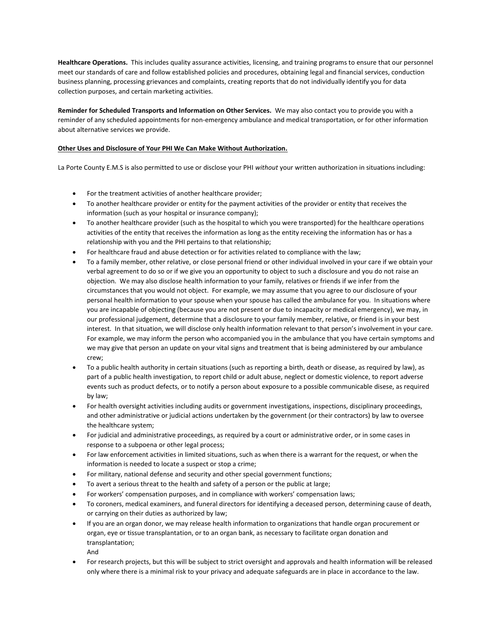**Healthcare Operations.** This includes quality assurance activities, licensing, and training programs to ensure that our personnel meet our standards of care and follow established policies and procedures, obtaining legal and financial services, conduction business planning, processing grievances and complaints, creating reports that do not individually identify you for data collection purposes, and certain marketing activities.

**Reminder for Scheduled Transports and Information on Other Services.** We may also contact you to provide you with a reminder of any scheduled appointments for non-emergency ambulance and medical transportation, or for other information about alternative services we provide.

## **Other Uses and Disclosure of Your PHI We Can Make Without Authorization.**

La Porte County E.M.S is also permitted to use or disclose your PHI *without* your written authorization in situations including:

- For the treatment activities of another healthcare provider;
- To another healthcare provider or entity for the payment activities of the provider or entity that receives the information (such as your hospital or insurance company);
- To another healthcare provider (such as the hospital to which you were transported) for the healthcare operations activities of the entity that receives the information as long as the entity receiving the information has or has a relationship with you and the PHI pertains to that relationship;
- For healthcare fraud and abuse detection or for activities related to compliance with the law;
- To a family member, other relative, or close personal friend or other individual involved in your care if we obtain your verbal agreement to do so or if we give you an opportunity to object to such a disclosure and you do not raise an objection. We may also disclose health information to your family, relatives or friends if we infer from the circumstances that you would not object. For example, we may assume that you agree to our disclosure of your personal health information to your spouse when your spouse has called the ambulance for you. In situations where you are incapable of objecting (because you are not present or due to incapacity or medical emergency), we may, in our professional judgement, determine that a disclosure to your family member, relative, or friend is in your best interest. In that situation, we will disclose only health information relevant to that person's involvement in your care. For example, we may inform the person who accompanied you in the ambulance that you have certain symptoms and we may give that person an update on your vital signs and treatment that is being administered by our ambulance crew;
- To a public health authority in certain situations (such as reporting a birth, death or disease, as required by law), as part of a public health investigation, to report child or adult abuse, neglect or domestic violence, to report adverse events such as product defects, or to notify a person about exposure to a possible communicable disese, as required by law;
- For health oversight activities including audits or government investigations, inspections, disciplinary proceedings, and other administrative or judicial actions undertaken by the government (or their contractors) by law to oversee the healthcare system;
- For judicial and administrative proceedings, as required by a court or administrative order, or in some cases in response to a subpoena or other legal process;
- For law enforcement activities in limited situations, such as when there is a warrant for the request, or when the information is needed to locate a suspect or stop a crime;
- For military, national defense and security and other special government functions;
- To avert a serious threat to the health and safety of a person or the public at large;
- For workers' compensation purposes, and in compliance with workers' compensation laws;
- To coroners, medical examiners, and funeral directors for identifying a deceased person, determining cause of death, or carrying on their duties as authorized by law;
- If you are an organ donor, we may release health information to organizations that handle organ procurement or organ, eye or tissue transplantation, or to an organ bank, as necessary to facilitate organ donation and transplantation;

And

• For research projects, but this will be subject to strict oversight and approvals and health information will be released only where there is a minimal risk to your privacy and adequate safeguards are in place in accordance to the law.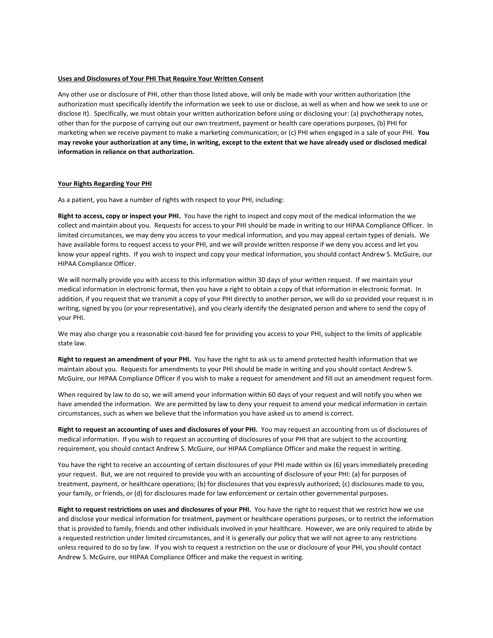## **Uses and Disclosures of Your PHI That Require Your Written Consent**

Any other use or disclosure of PHI, other than those listed above, will only be made with your written authorization (the authorization must specifically identify the information we seek to use or disclose, as well as when and how we seek to use or disclose it). Specifically, we must obtain your written authorization before using or disclosing your: (a) psychotherapy notes, other than for the purpose of carrying out our own treatment, payment or health care operations purposes, (b) PHI for marketing when we receive payment to make a marketing communication; or (c) PHI when engaged in a sale of your PHI. **You may revoke your authorization at any time, in writing, except to the extent that we have already used or disclosed medical information in reliance on that authorization.**

#### **Your Rights Regarding Your PHI**

As a patient, you have a number of rights with respect to your PHI, including:

**Right to access, copy or inspect your PHI.** You have the right to inspect and copy most of the medical information the we collect and maintain about you. Requests for access to your PHI should be made in writing to our HIPAA Compliance Officer. In limited circumstances, we may deny you access to your medical information, and you may appeal certain types of denials. We have available forms to request access to your PHI, and we will provide written response if we deny you access and let you know your appeal rights. If you wish to inspect and copy your medical information, you should contact Andrew S. McGuire, our HIPAA Compliance Officer.

We will normally provide you with access to this information within 30 days of your written request. If we maintain your medical information in electronic format, then you have a right to obtain a copy of that information in electronic format. In addition, if you request that we transmit a copy of your PHI directly to another person, we will do so provided your request is in writing, signed by you (or your representative), and you clearly identify the designated person and where to send the copy of your PHI.

We may also charge you a reasonable cost-based fee for providing you access to your PHI, subject to the limits of applicable state law.

**Right to request an amendment of your PHI.** You have the right to ask us to amend protected health information that we maintain about you. Requests for amendments to your PHI should be made in writing and you should contact Andrew S. McGuire, our HIPAA Compliance Officer if you wish to make a request for amendment and fill out an amendment request form.

When required by law to do so, we will amend your information within 60 days of your request and will notify you when we have amended the information. We are permitted by law to deny your request to amend your medical information in certain circumstances, such as when we believe that the information you have asked us to amend is correct.

**Right to request an accounting of uses and disclosures of your PHI.** You may request an accounting from us of disclosures of medical information. If you wish to request an accounting of disclosures of your PHI that are subject to the accounting requirement, you should contact Andrew S. McGuire, our HIPAA Compliance Officer and make the request in writing.

You have the right to receive an accounting of certain disclosures of your PHI made within six (6) years immediately preceding your request. But, we are not required to provide you with an accounting of disclosure of your PHI: (a) for purposes of treatment, payment, or healthcare operations; (b) for disclosures that you expressly authorized; (c) disclosures made to you, your family, or friends, or (d) for disclosures made for law enforcement or certain other governmental purposes.

**Right to request restrictions on uses and disclosures of your PHI.** You have the right to request that we restrict how we use and disclose your medical information for treatment, payment or healthcare operations purposes, or to restrict the information that is provided to family, friends and other individuals involved in your healthcare. However, we are only required to abide by a requested restriction under limited circumstances, and it is generally our policy that we will not agree to any restrictions unless required to do so by law. If you wish to request a restriction on the use or disclosure of your PHI, you should contact Andrew S. McGuire, our HIPAA Compliance Officer and make the request in writing.